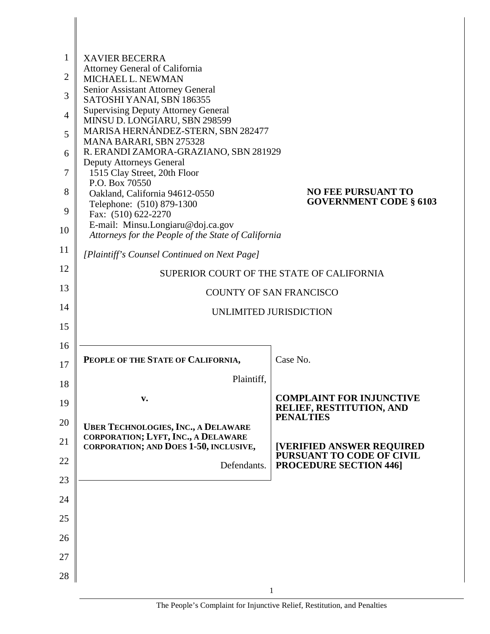| 1              | <b>XAVIER BECERRA</b>                                                             |                                                            |
|----------------|-----------------------------------------------------------------------------------|------------------------------------------------------------|
| $\overline{2}$ | Attorney General of California                                                    |                                                            |
|                | MICHAEL L. NEWMAN<br>Senior Assistant Attorney General                            |                                                            |
| 3              | SATOSHI YANAI, SBN 186355                                                         |                                                            |
| $\overline{4}$ | <b>Supervising Deputy Attorney General</b><br>MINSU D. LONGIARU, SBN 298599       |                                                            |
| 5              | MARISA HERNÁNDEZ-STERN, SBN 282477                                                |                                                            |
| 6              | MANA BARARI, SBN 275328<br>R. ERANDI ZAMORA-GRAZIANO, SBN 281929                  |                                                            |
|                | <b>Deputy Attorneys General</b>                                                   |                                                            |
| 7              | 1515 Clay Street, 20th Floor<br>P.O. Box 70550                                    |                                                            |
| 8              | Oakland, California 94612-0550                                                    | <b>NO FEE PURSUANT TO</b><br><b>GOVERNMENT CODE § 6103</b> |
| 9              | Telephone: (510) 879-1300<br>Fax: (510) 622-2270                                  |                                                            |
| 10             | E-mail: Minsu.Longiaru@doj.ca.gov                                                 |                                                            |
| 11             | Attorneys for the People of the State of California                               |                                                            |
|                | [Plaintiff's Counsel Continued on Next Page]                                      |                                                            |
| 12             |                                                                                   | SUPERIOR COURT OF THE STATE OF CALIFORNIA                  |
| 13             |                                                                                   | <b>COUNTY OF SAN FRANCISCO</b>                             |
| 14             |                                                                                   | UNLIMITED JURISDICTION                                     |
| 15             |                                                                                   |                                                            |
| 16             |                                                                                   |                                                            |
| 17             | PEOPLE OF THE STATE OF CALIFORNIA,                                                | Case No.                                                   |
| 18             | Plaintiff,                                                                        |                                                            |
|                | v.                                                                                | <b>COMPLAINT FOR INJUNCTIVE</b>                            |
| 19             |                                                                                   | RELIEF, RESTITUTION, AND<br><b>PENALTIES</b>               |
| 20             | <b>UBER TECHNOLOGIES, INC., A DELAWARE</b><br>CORPORATION; LYFT, INC., A DELAWARE |                                                            |
| 21             | CORPORATION; AND DOES 1-50, INCLUSIVE,                                            | <b>[VERIFIED ANSWER REQUIRED</b>                           |
| 22             | Defendants.                                                                       | PURSUANT TO CODE OF CIVIL<br><b>PROCEDURE SECTION 446]</b> |
| 23             |                                                                                   |                                                            |
| 24             |                                                                                   |                                                            |
| 25             |                                                                                   |                                                            |
| 26             |                                                                                   |                                                            |
| 27             |                                                                                   |                                                            |
|                |                                                                                   |                                                            |
| 28             |                                                                                   |                                                            |
|                |                                                                                   |                                                            |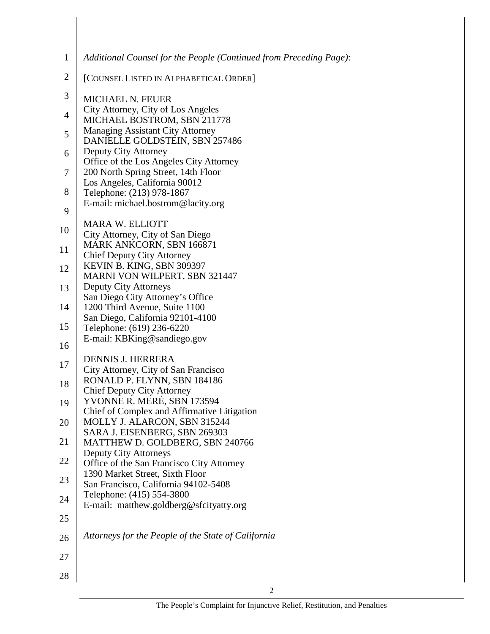| $\mathbf{1}$   | Additional Counsel for the People (Continued from Preceding Page):             |
|----------------|--------------------------------------------------------------------------------|
| $\mathbf{2}$   | [COUNSEL LISTED IN ALPHABETICAL ORDER]                                         |
| $\mathfrak{Z}$ | <b>MICHAEL N. FEUER</b>                                                        |
| $\overline{4}$ | City Attorney, City of Los Angeles<br>MICHAEL BOSTROM, SBN 211778              |
| 5              | <b>Managing Assistant City Attorney</b>                                        |
| 6              | DANIELLE GOLDSTEIN, SBN 257486<br>Deputy City Attorney                         |
| $\tau$         | Office of the Los Angeles City Attorney<br>200 North Spring Street, 14th Floor |
| 8              | Los Angeles, California 90012                                                  |
|                | Telephone: (213) 978-1867<br>E-mail: michael.bostrom@lacity.org                |
| 9              |                                                                                |
| 10             | <b>MARA W. ELLIOTT</b><br>City Attorney, City of San Diego                     |
| 11             | MARK ANKCORN, SBN 166871<br><b>Chief Deputy City Attorney</b>                  |
| 12             | KEVIN B. KING, SBN 309397                                                      |
| 13             | MARNI VON WILPERT, SBN 321447<br>Deputy City Attorneys                         |
| 14             | San Diego City Attorney's Office<br>1200 Third Avenue, Suite 1100              |
| 15             | San Diego, California 92101-4100<br>Telephone: (619) 236-6220                  |
| 16             | E-mail: KBKing@sandiego.gov                                                    |
| 17             | <b>DENNIS J. HERRERA</b>                                                       |
|                | City Attorney, City of San Francisco<br>RONALD P. FLYNN, SBN 184186            |
| 18             | <b>Chief Deputy City Attorney</b>                                              |
| 19             | YVONNE R. MERÉ, SBN 173594<br>Chief of Complex and Affirmative Litigation      |
| 20             | MOLLY J. ALARCON, SBN 315244<br>SARA J. EISENBERG, SBN 269303                  |
| 21             | MATTHEW D. GOLDBERG, SBN 240766                                                |
| 22             | Deputy City Attorneys<br>Office of the San Francisco City Attorney             |
| 23             | 1390 Market Street, Sixth Floor<br>San Francisco, California 94102-5408        |
| 24             | Telephone: (415) 554-3800                                                      |
| 25             | E-mail: matthew.goldberg@sfcityatty.org                                        |
| 26             | Attorneys for the People of the State of California                            |
| 27             |                                                                                |
| 28             |                                                                                |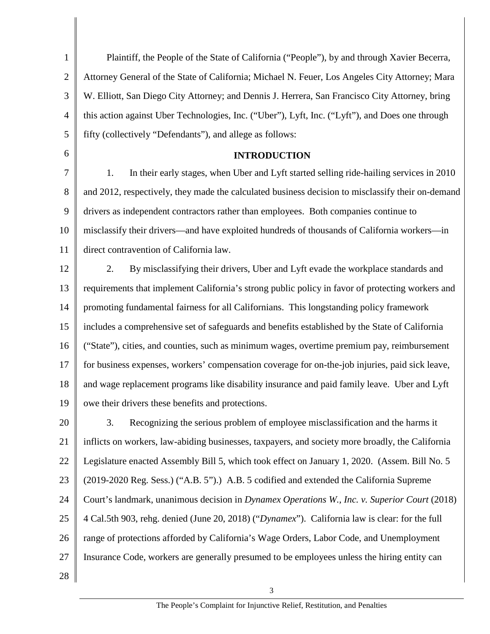1 2 3 4 5 6 7 8 9 10 11 12 13 14 15 16 17 18 19 20 21 22 23 24 25 26 27 28 Plaintiff, the People of the State of California ("People"), by and through Xavier Becerra, Attorney General of the State of California; Michael N. Feuer, Los Angeles City Attorney; Mara W. Elliott, San Diego City Attorney; and Dennis J. Herrera, San Francisco City Attorney, bring this action against Uber Technologies, Inc. ("Uber"), Lyft, Inc. ("Lyft"), and Does one through fifty (collectively "Defendants"), and allege as follows: **INTRODUCTION**  1. In their early stages, when Uber and Lyft started selling ride-hailing services in 2010 and 2012, respectively, they made the calculated business decision to misclassify their on-demand drivers as independent contractors rather than employees. Both companies continue to misclassify their drivers—and have exploited hundreds of thousands of California workers—in direct contravention of California law. 2. By misclassifying their drivers, Uber and Lyft evade the workplace standards and requirements that implement California's strong public policy in favor of protecting workers and promoting fundamental fairness for all Californians. This longstanding policy framework includes a comprehensive set of safeguards and benefits established by the State of California ("State"), cities, and counties, such as minimum wages, overtime premium pay, reimbursement for business expenses, workers' compensation coverage for on-the-job injuries, paid sick leave, and wage replacement programs like disability insurance and paid family leave. Uber and Lyft owe their drivers these benefits and protections. 3. Recognizing the serious problem of employee misclassification and the harms it inflicts on workers, law-abiding businesses, taxpayers, and society more broadly, the California Legislature enacted Assembly Bill 5, which took effect on January 1, 2020. (Assem. Bill No. 5 (2019-2020 Reg. Sess.) ("A.B. 5").) A.B. 5 codified and extended the California Supreme Court's landmark, unanimous decision in *Dynamex Operations W., Inc. v. Superior Court* (2018) 4 Cal.5th 903, rehg. denied (June 20, 2018) ("*Dynamex*"). California law is clear: for the full range of protections afforded by California's Wage Orders, Labor Code, and Unemployment Insurance Code, workers are generally presumed to be employees unless the hiring entity can 3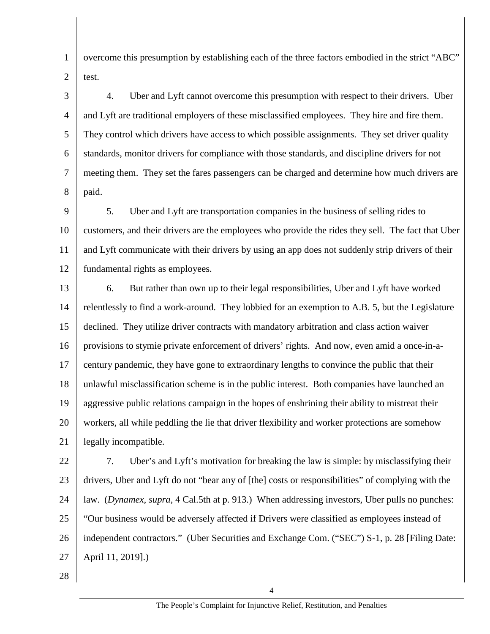overcome this presumption by establishing each of the three factors embodied in the strict "ABC" test.

3 4 5 6 7 8 4. Uber and Lyft cannot overcome this presumption with respect to their drivers. Uber and Lyft are traditional employers of these misclassified employees. They hire and fire them. They control which drivers have access to which possible assignments. They set driver quality standards, monitor drivers for compliance with those standards, and discipline drivers for not meeting them. They set the fares passengers can be charged and determine how much drivers are paid.

9 10 11 12 5. Uber and Lyft are transportation companies in the business of selling rides to customers, and their drivers are the employees who provide the rides they sell. The fact that Uber and Lyft communicate with their drivers by using an app does not suddenly strip drivers of their fundamental rights as employees.

13 14 15 16 17 18 19 20 21 6. But rather than own up to their legal responsibilities, Uber and Lyft have worked relentlessly to find a work-around. They lobbied for an exemption to A.B. 5, but the Legislature declined. They utilize driver contracts with mandatory arbitration and class action waiver provisions to stymie private enforcement of drivers' rights. And now, even amid a once-in-acentury pandemic, they have gone to extraordinary lengths to convince the public that their unlawful misclassification scheme is in the public interest. Both companies have launched an aggressive public relations campaign in the hopes of enshrining their ability to mistreat their workers, all while peddling the lie that driver flexibility and worker protections are somehow legally incompatible.

22 23 24 25 26 27 7. Uber's and Lyft's motivation for breaking the law is simple: by misclassifying their drivers, Uber and Lyft do not "bear any of [the] costs or responsibilities" of complying with the law. (*Dynamex, supra*, 4 Cal.5th at p. 913.) When addressing investors, Uber pulls no punches: "Our business would be adversely affected if Drivers were classified as employees instead of independent contractors." (Uber Securities and Exchange Com. ("SEC") S-1, p. 28 [Filing Date: April 11, 2019].)

28

1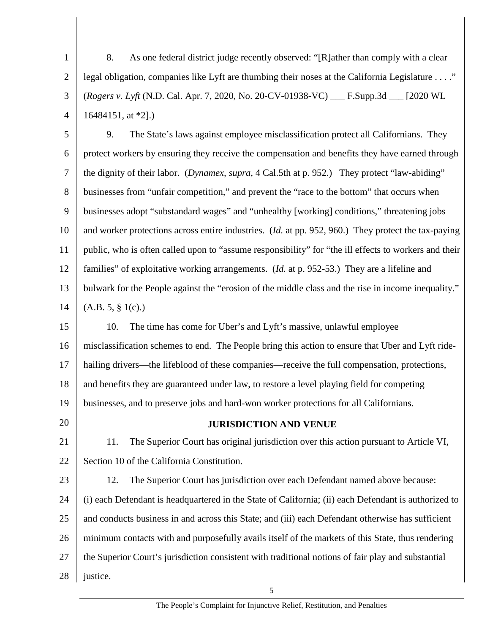1 2 3 4 8. As one federal district judge recently observed: "[R]ather than comply with a clear legal obligation, companies like Lyft are thumbing their noses at the California Legislature . . . ." (*Rogers v. Lyft* (N.D. Cal. Apr. 7, 2020, No. 20-CV-01938-VC) \_\_\_ [F.Supp.3d](https://F.Supp.3d) \_\_\_ [2020 WL 16484151, at \*2].)

5 6 7 8 9 10 11 12 13 14 9. The State's laws against employee misclassification protect all Californians. They protect workers by ensuring they receive the compensation and benefits they have earned through the dignity of their labor. (*Dynamex, supra*, 4 Cal.5th at p. 952.) They protect "law-abiding" businesses from "unfair competition," and prevent the "race to the bottom" that occurs when businesses adopt "substandard wages" and "unhealthy [working] conditions," threatening jobs and worker protections across entire industries. (*Id.* at pp. 952, 960.) They protect the tax-paying public, who is often called upon to "assume responsibility" for "the ill effects to workers and their families" of exploitative working arrangements. (*Id.* at p. 952-53.) They are a lifeline and bulwark for the People against the "erosion of the middle class and the rise in income inequality."  $(A.B. 5, § 1(c).)$ 

15 16 17 18 19 10. The time has come for Uber's and Lyft's massive, unlawful employee misclassification schemes to end. The People bring this action to ensure that Uber and Lyft ridehailing drivers—the lifeblood of these companies—receive the full compensation, protections, and benefits they are guaranteed under law, to restore a level playing field for competing businesses, and to preserve jobs and hard-won worker protections for all Californians.

20

**JURISDICTION AND VENUE** 

21 22 11. The Superior Court has original jurisdiction over this action pursuant to Article VI, Section 10 of the California Constitution.

23 24 25 26 27 28 12. The Superior Court has jurisdiction over each Defendant named above because: (i) each Defendant is headquartered in the State of California; (ii) each Defendant is authorized to and conducts business in and across this State; and (iii) each Defendant otherwise has sufficient minimum contacts with and purposefully avails itself of the markets of this State, thus rendering the Superior Court's jurisdiction consistent with traditional notions of fair play and substantial justice.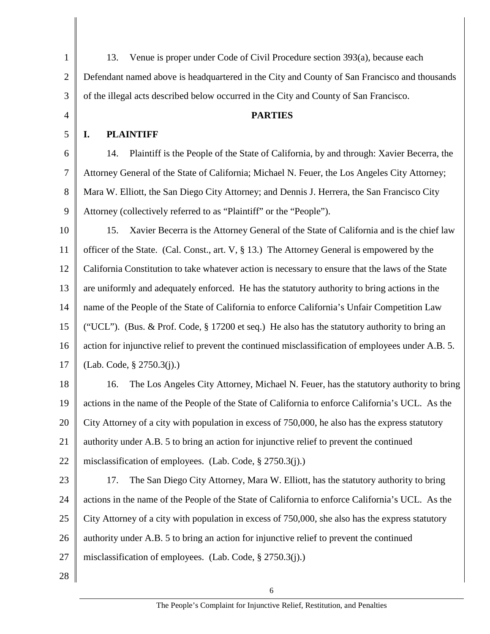1 2 3 4 5 6 7 8 9 10 11 12 13 14 15 16 17 18 19 20 21 22 23 24 25 26 27 28 13. Venue is proper under Code of Civil Procedure section 393(a), because each Defendant named above is headquartered in the City and County of San Francisco and thousands of the illegal acts described below occurred in the City and County of San Francisco. **PARTIES I. PLAINTIFF**  14. Plaintiff is the People of the State of California, by and through: Xavier Becerra, the Attorney General of the State of California; Michael N. Feuer, the Los Angeles City Attorney; Mara W. Elliott, the San Diego City Attorney; and Dennis J. Herrera, the San Francisco City Attorney (collectively referred to as "Plaintiff" or the "People"). 15. Xavier Becerra is the Attorney General of the State of California and is the chief law officer of the State. (Cal. Const., art. V, § 13.) The Attorney General is empowered by the California Constitution to take whatever action is necessary to ensure that the laws of the State are uniformly and adequately enforced. He has the statutory authority to bring actions in the name of the People of the State of California to enforce California's Unfair Competition Law ("UCL"). (Bus. & Prof. Code,  $\S 17200$  et seq.) He also has the statutory authority to bring an action for injunctive relief to prevent the continued misclassification of employees under A.B. 5. (Lab. Code, § 2750.3(j).) 16. The Los Angeles City Attorney, Michael N. Feuer, has the statutory authority to bring actions in the name of the People of the State of California to enforce California's UCL. As the City Attorney of a city with population in excess of 750,000, he also has the express statutory authority under A.B. 5 to bring an action for injunctive relief to prevent the continued misclassification of employees. (Lab. Code, § 2750.3(j).) 17. The San Diego City Attorney, Mara W. Elliott, has the statutory authority to bring actions in the name of the People of the State of California to enforce California's UCL. As the City Attorney of a city with population in excess of 750,000, she also has the express statutory authority under A.B. 5 to bring an action for injunctive relief to prevent the continued misclassification of employees. (Lab. Code, § 2750.3(j).)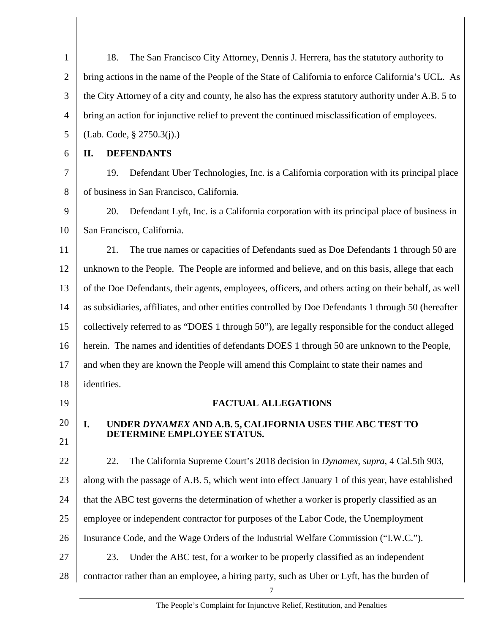| $\mathbf{1}$   | 18.<br>The San Francisco City Attorney, Dennis J. Herrera, has the statutory authority to            |
|----------------|------------------------------------------------------------------------------------------------------|
| $\overline{2}$ | bring actions in the name of the People of the State of California to enforce California's UCL. As   |
| 3              | the City Attorney of a city and county, he also has the express statutory authority under A.B. 5 to  |
| 4              | bring an action for injunctive relief to prevent the continued misclassification of employees.       |
| 5              | (Lab. Code, § 2750.3(i).)                                                                            |
| 6              | <b>DEFENDANTS</b><br>П.                                                                              |
| 7              | 19.<br>Defendant Uber Technologies, Inc. is a California corporation with its principal place        |
| 8              | of business in San Francisco, California.                                                            |
| 9              | 20.<br>Defendant Lyft, Inc. is a California corporation with its principal place of business in      |
| 10             | San Francisco, California.                                                                           |
| 11             | 21.<br>The true names or capacities of Defendants sued as Doe Defendants 1 through 50 are            |
| 12             | unknown to the People. The People are informed and believe, and on this basis, allege that each      |
| 13             | of the Doe Defendants, their agents, employees, officers, and others acting on their behalf, as well |
| 14             | as subsidiaries, affiliates, and other entities controlled by Doe Defendants 1 through 50 (hereafter |
| 15             | collectively referred to as "DOES 1 through 50"), are legally responsible for the conduct alleged    |
| 16             | herein. The names and identities of defendants DOES 1 through 50 are unknown to the People,          |
| 17             | and when they are known the People will amend this Complaint to state their names and                |
| 18             | identities.                                                                                          |
| 19             | <b>FACTUAL ALLEGATIONS</b>                                                                           |
| 20             | UNDER DYNAMEX AND A.B. 5, CALIFORNIA USES THE ABC TEST TO<br>I.                                      |
| 21             | DETERMINE EMPLOYEE STATUS.                                                                           |
| 22             | The California Supreme Court's 2018 decision in Dynamex, supra, 4 Cal.5th 903,<br>22.                |
| 23             | along with the passage of A.B. 5, which went into effect January 1 of this year, have established    |
| 24             | that the ABC test governs the determination of whether a worker is properly classified as an         |
| 25             | employee or independent contractor for purposes of the Labor Code, the Unemployment                  |
| 26             | Insurance Code, and the Wage Orders of the Industrial Welfare Commission ("I.W.C.").                 |
| 27             | Under the ABC test, for a worker to be properly classified as an independent<br>23.                  |
| 28             | contractor rather than an employee, a hiring party, such as Uber or Lyft, has the burden of          |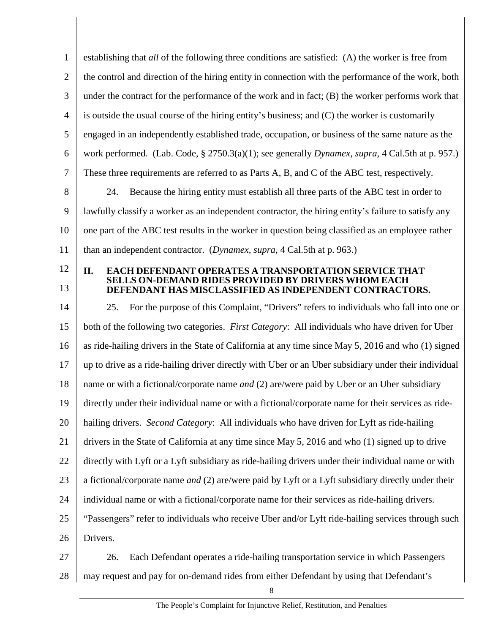1 2 3 4 5 6 7 8 9 10 11 12 13 14 15 16 17 18 19 20 21 22 23 24 25 26 27 28 establishing that *all* of the following three conditions are satisfied: (A) the worker is free from the control and direction of the hiring entity in connection with the performance of the work, both under the contract for the performance of the work and in fact; (B) the worker performs work that is outside the usual course of the hiring entity's business; and (C) the worker is customarily engaged in an independently established trade, occupation, or business of the same nature as the work performed. (Lab. Code, § 2750.3(a)(1); see generally *Dynamex, supra*, 4 Cal.5th at p. 957.) These three requirements are referred to as Parts A, B, and C of the ABC test, respectively. 24. Because the hiring entity must establish all three parts of the ABC test in order to lawfully classify a worker as an independent contractor, the hiring entity's failure to satisfy any one part of the ABC test results in the worker in question being classified as an employee rather than an independent contractor. (*Dynamex, supra*, 4 Cal.5th at p. 963.) **II. EACH DEFENDANT OPERATES A TRANSPORTATION SERVICE THAT SELLS ON-DEMAND RIDES PROVIDED BY DRIVERS WHOM EACH DEFENDANT HAS MISCLASSIFIED AS INDEPENDENT CONTRACTORS.**  25. For the purpose of this Complaint, "Drivers" refers to individuals who fall into one or both of the following two categories. *First Category*: All individuals who have driven for Uber as ride-hailing drivers in the State of California at any time since May 5, 2016 and who (1) signed up to drive as a ride-hailing driver directly with Uber or an Uber subsidiary under their individual name or with a fictional/corporate name *and* (2) are/were paid by Uber or an Uber subsidiary directly under their individual name or with a fictional/corporate name for their services as ridehailing drivers. *Second Category*: All individuals who have driven for Lyft as ride-hailing drivers in the State of California at any time since May 5, 2016 and who (1) signed up to drive directly with Lyft or a Lyft subsidiary as ride-hailing drivers under their individual name or with a fictional/corporate name *and* (2) are/were paid by Lyft or a Lyft subsidiary directly under their individual name or with a fictional/corporate name for their services as ride-hailing drivers. "Passengers" refer to individuals who receive Uber and/or Lyft ride-hailing services through such Drivers. 26. Each Defendant operates a ride-hailing transportation service in which Passengers may request and pay for on-demand rides from either Defendant by using that Defendant's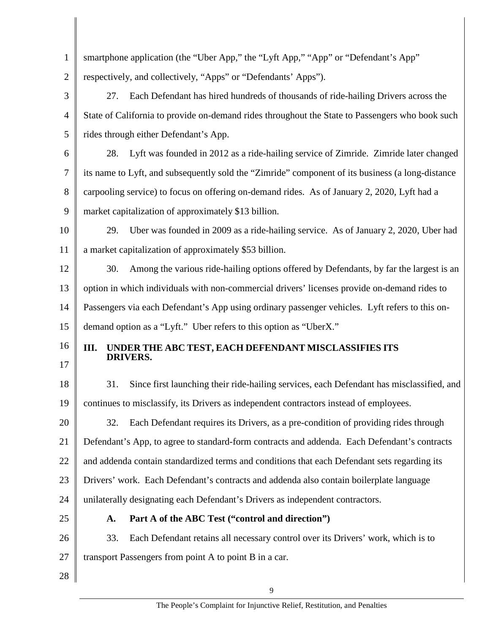| $\mathbf{1}$   | smartphone application (the "Uber App," the "Lyft App," "App" or "Defendant's App"               |
|----------------|--------------------------------------------------------------------------------------------------|
| $\overline{2}$ | respectively, and collectively, "Apps" or "Defendants' Apps").                                   |
| 3              | Each Defendant has hired hundreds of thousands of ride-hailing Drivers across the<br>27.         |
| 4              | State of California to provide on-demand rides throughout the State to Passengers who book such  |
| 5              | rides through either Defendant's App.                                                            |
| 6              | Lyft was founded in 2012 as a ride-hailing service of Zimride. Zimride later changed<br>28.      |
| $\tau$         | its name to Lyft, and subsequently sold the "Zimride" component of its business (a long-distance |
| 8              | carpooling service) to focus on offering on-demand rides. As of January 2, 2020, Lyft had a      |
| 9              | market capitalization of approximately \$13 billion.                                             |
| 10             | 29.<br>Uber was founded in 2009 as a ride-hailing service. As of January 2, 2020, Uber had       |
| 11             | a market capitalization of approximately \$53 billion.                                           |
| 12             | Among the various ride-hailing options offered by Defendants, by far the largest is an<br>30.    |
| 13             | option in which individuals with non-commercial drivers' licenses provide on-demand rides to     |
| 14             | Passengers via each Defendant's App using ordinary passenger vehicles. Lyft refers to this on-   |
| 15             | demand option as a "Lyft." Uber refers to this option as "UberX."                                |
| 16             | Ш.<br>UNDER THE ABC TEST, EACH DEFENDANT MISCLASSIFIES ITS                                       |
| 17             | <b>DRIVERS.</b>                                                                                  |
| 18             | 31.<br>Since first launching their ride-hailing services, each Defendant has misclassified, and  |
| 19             | continues to misclassify, its Drivers as independent contractors instead of employees.           |
| 20             | Each Defendant requires its Drivers, as a pre-condition of providing rides through<br>32.        |
| 21             | Defendant's App, to agree to standard-form contracts and addenda. Each Defendant's contracts     |
| 22             | and addenda contain standardized terms and conditions that each Defendant sets regarding its     |
| 23             | Drivers' work. Each Defendant's contracts and addenda also contain boilerplate language          |
| 24             | unilaterally designating each Defendant's Drivers as independent contractors.                    |
| 25             | Part A of the ABC Test ("control and direction")<br>A.                                           |
| 26             | 33.<br>Each Defendant retains all necessary control over its Drivers' work, which is to          |
| 27             | transport Passengers from point A to point B in a car.                                           |
| 28             |                                                                                                  |
|                | 9                                                                                                |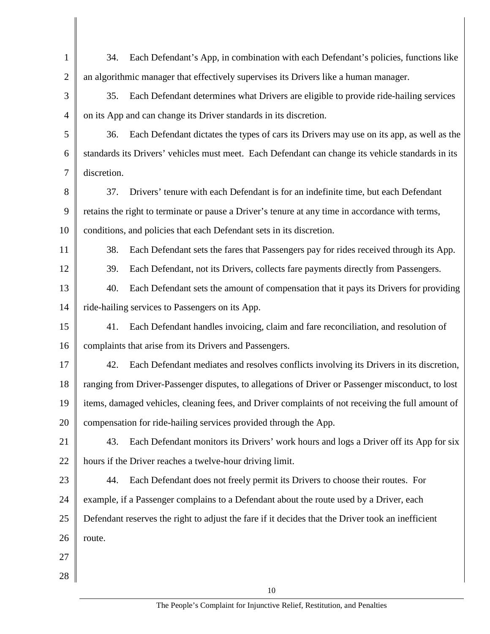| $\mathbf{1}$   | 34.         | Each Defendant's App, in combination with each Defendant's policies, functions like               |
|----------------|-------------|---------------------------------------------------------------------------------------------------|
| $\overline{2}$ |             | an algorithmic manager that effectively supervises its Drivers like a human manager.              |
| 3              | 35.         | Each Defendant determines what Drivers are eligible to provide ride-hailing services              |
| $\overline{4}$ |             | on its App and can change its Driver standards in its discretion.                                 |
| 5              | 36.         | Each Defendant dictates the types of cars its Drivers may use on its app, as well as the          |
| 6              |             | standards its Drivers' vehicles must meet. Each Defendant can change its vehicle standards in its |
| 7              | discretion. |                                                                                                   |
| 8              | 37.         | Drivers' tenure with each Defendant is for an indefinite time, but each Defendant                 |
| 9              |             | retains the right to terminate or pause a Driver's tenure at any time in accordance with terms,   |
| 10             |             | conditions, and policies that each Defendant sets in its discretion.                              |
| 11             | 38.         | Each Defendant sets the fares that Passengers pay for rides received through its App.             |
| 12             | 39.         | Each Defendant, not its Drivers, collects fare payments directly from Passengers.                 |
| 13             | 40.         | Each Defendant sets the amount of compensation that it pays its Drivers for providing             |
| 14             |             | ride-hailing services to Passengers on its App.                                                   |
| 15             | 41.         | Each Defendant handles invoicing, claim and fare reconciliation, and resolution of                |
| 16             |             | complaints that arise from its Drivers and Passengers.                                            |
| 17             | 42.         | Each Defendant mediates and resolves conflicts involving its Drivers in its discretion,           |
| 18             |             | ranging from Driver-Passenger disputes, to allegations of Driver or Passenger misconduct, to lost |
| 19             |             | items, damaged vehicles, cleaning fees, and Driver complaints of not receiving the full amount of |
| 20             |             | compensation for ride-hailing services provided through the App.                                  |
| 21             | 43.         | Each Defendant monitors its Drivers' work hours and logs a Driver off its App for six             |
| 22             |             | hours if the Driver reaches a twelve-hour driving limit.                                          |
| 23             | 44.         | Each Defendant does not freely permit its Drivers to choose their routes. For                     |
| 24             |             | example, if a Passenger complains to a Defendant about the route used by a Driver, each           |
| 25             |             | Defendant reserves the right to adjust the fare if it decides that the Driver took an inefficient |
| 26             | route.      |                                                                                                   |
| 27             |             |                                                                                                   |
| 28             |             |                                                                                                   |
|                |             | 10                                                                                                |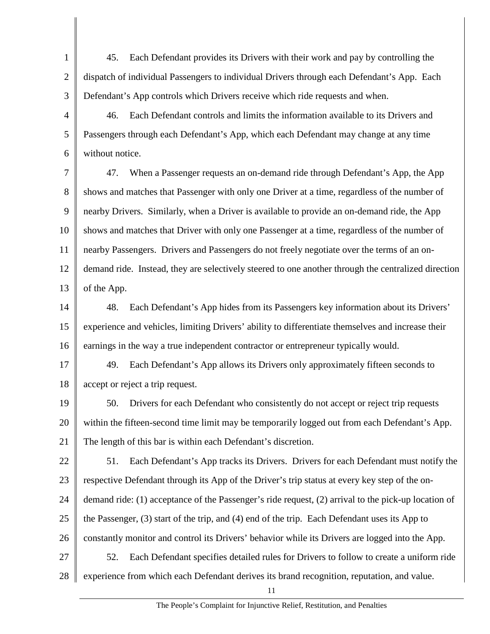1 2 3 45. Each Defendant provides its Drivers with their work and pay by controlling the dispatch of individual Passengers to individual Drivers through each Defendant's App. Each Defendant's App controls which Drivers receive which ride requests and when.

4 5 6 46. Each Defendant controls and limits the information available to its Drivers and Passengers through each Defendant's App, which each Defendant may change at any time without notice.

7 8 9 10 11 12 13 47. When a Passenger requests an on-demand ride through Defendant's App, the App shows and matches that Passenger with only one Driver at a time, regardless of the number of nearby Drivers. Similarly, when a Driver is available to provide an on-demand ride, the App shows and matches that Driver with only one Passenger at a time, regardless of the number of nearby Passengers. Drivers and Passengers do not freely negotiate over the terms of an ondemand ride. Instead, they are selectively steered to one another through the centralized direction of the App.

14 15 16 48. Each Defendant's App hides from its Passengers key information about its Drivers' experience and vehicles, limiting Drivers' ability to differentiate themselves and increase their earnings in the way a true independent contractor or entrepreneur typically would.

17 18 49. Each Defendant's App allows its Drivers only approximately fifteen seconds to accept or reject a trip request.

19 20 21 50. Drivers for each Defendant who consistently do not accept or reject trip requests within the fifteen-second time limit may be temporarily logged out from each Defendant's App. The length of this bar is within each Defendant's discretion.

22 23 24 25 26 27 28 51. Each Defendant's App tracks its Drivers. Drivers for each Defendant must notify the respective Defendant through its App of the Driver's trip status at every key step of the ondemand ride: (1) acceptance of the Passenger's ride request, (2) arrival to the pick-up location of the Passenger, (3) start of the trip, and (4) end of the trip. Each Defendant uses its App to constantly monitor and control its Drivers' behavior while its Drivers are logged into the App. 52. Each Defendant specifies detailed rules for Drivers to follow to create a uniform ride experience from which each Defendant derives its brand recognition, reputation, and value.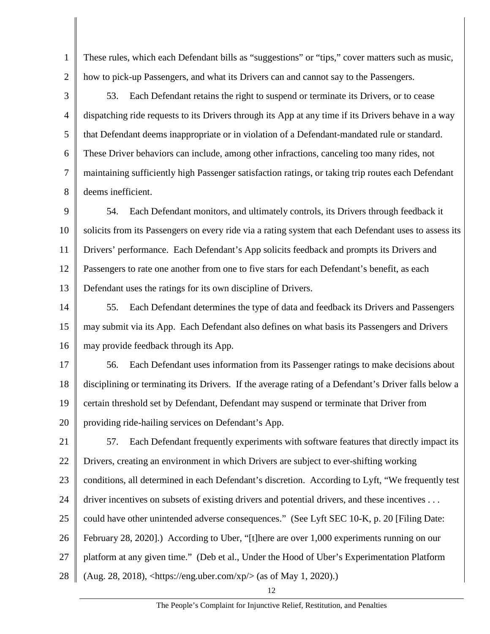These rules, which each Defendant bills as "suggestions" or "tips," cover matters such as music, how to pick-up Passengers, and what its Drivers can and cannot say to the Passengers.

1

2

3 4 5 6 7 8 53. Each Defendant retains the right to suspend or terminate its Drivers, or to cease dispatching ride requests to its Drivers through its App at any time if its Drivers behave in a way that Defendant deems inappropriate or in violation of a Defendant-mandated rule or standard. These Driver behaviors can include, among other infractions, canceling too many rides, not maintaining sufficiently high Passenger satisfaction ratings, or taking trip routes each Defendant deems inefficient.

9 10 11 12 13 54. Each Defendant monitors, and ultimately controls, its Drivers through feedback it solicits from its Passengers on every ride via a rating system that each Defendant uses to assess its Drivers' performance. Each Defendant's App solicits feedback and prompts its Drivers and Passengers to rate one another from one to five stars for each Defendant's benefit, as each Defendant uses the ratings for its own discipline of Drivers.

14 15 16 55. Each Defendant determines the type of data and feedback its Drivers and Passengers may submit via its App. Each Defendant also defines on what basis its Passengers and Drivers may provide feedback through its App.

17 18 19 20 56. Each Defendant uses information from its Passenger ratings to make decisions about disciplining or terminating its Drivers. If the average rating of a Defendant's Driver falls below a certain threshold set by Defendant, Defendant may suspend or terminate that Driver from providing ride-hailing services on Defendant's App.

21 22 23 24 25 26 27 28 57. Each Defendant frequently experiments with software features that directly impact its Drivers, creating an environment in which Drivers are subject to ever-shifting working conditions, all determined in each Defendant's discretion. According to Lyft, "We frequently test driver incentives on subsets of existing drivers and potential drivers, and these incentives . . . could have other unintended adverse consequences." (See Lyft SEC 10-K, p. 20 [Filing Date: February 28, 2020].) According to Uber, "[t]here are over 1,000 experiments running on our platform at any given time." (Deb et al., Under the Hood of Uber's Experimentation Platform (Aug. 28, 2018), <[https://eng.uber.com/xp/](https://eng.uber.com/xp)> (as of May 1, 2020).)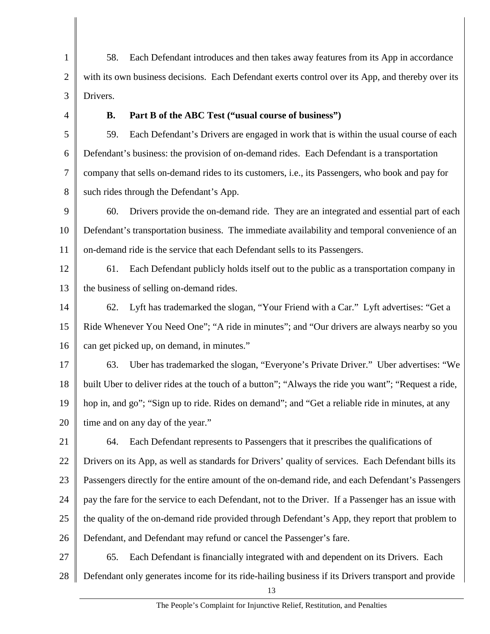1 2 3 58. Each Defendant introduces and then takes away features from its App in accordance with its own business decisions. Each Defendant exerts control over its App, and thereby over its Drivers.

4

#### **B. Part B of the ABC Test ("usual course of business")**

5 6 7 8 59. Each Defendant's Drivers are engaged in work that is within the usual course of each Defendant's business: the provision of on-demand rides. Each Defendant is a transportation company that sells on-demand rides to its customers, i.e., its Passengers, who book and pay for such rides through the Defendant's App.

9 10 11 60. Drivers provide the on-demand ride. They are an integrated and essential part of each Defendant's transportation business. The immediate availability and temporal convenience of an on-demand ride is the service that each Defendant sells to its Passengers.

12 13 61. Each Defendant publicly holds itself out to the public as a transportation company in the business of selling on-demand rides.

14 15 16 62. Lyft has trademarked the slogan, "Your Friend with a Car." Lyft advertises: "Get a Ride Whenever You Need One"; "A ride in minutes"; and "Our drivers are always nearby so you can get picked up, on demand, in minutes."

17 18 19 20 63. Uber has trademarked the slogan, "Everyone's Private Driver." Uber advertises: "We built Uber to deliver rides at the touch of a button"; "Always the ride you want"; "Request a ride, hop in, and go"; "Sign up to ride. Rides on demand"; and "Get a reliable ride in minutes, at any time and on any day of the year."

21 22 23 24 25 26 64. Each Defendant represents to Passengers that it prescribes the qualifications of Drivers on its App, as well as standards for Drivers' quality of services. Each Defendant bills its Passengers directly for the entire amount of the on-demand ride, and each Defendant's Passengers pay the fare for the service to each Defendant, not to the Driver. If a Passenger has an issue with the quality of the on-demand ride provided through Defendant's App, they report that problem to Defendant, and Defendant may refund or cancel the Passenger's fare.

27 28 65. Each Defendant is financially integrated with and dependent on its Drivers. Each Defendant only generates income for its ride-hailing business if its Drivers transport and provide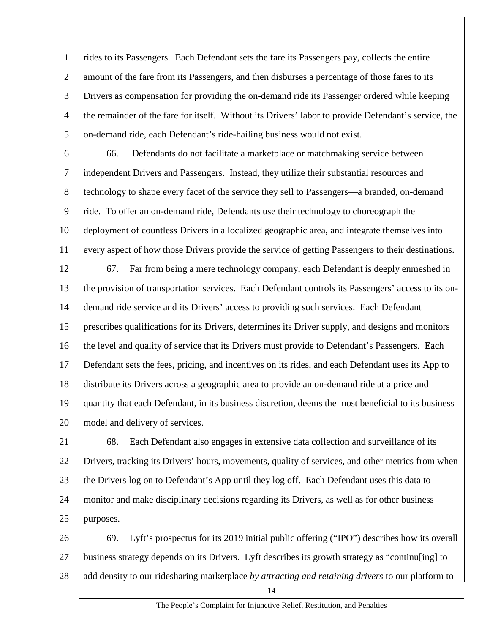1 2 3 4 5 rides to its Passengers. Each Defendant sets the fare its Passengers pay, collects the entire amount of the fare from its Passengers, and then disburses a percentage of those fares to its Drivers as compensation for providing the on-demand ride its Passenger ordered while keeping the remainder of the fare for itself. Without its Drivers' labor to provide Defendant's service, the on-demand ride, each Defendant's ride-hailing business would not exist.

6 7

8

9

10

11

66. Defendants do not facilitate a marketplace or matchmaking service between independent Drivers and Passengers. Instead, they utilize their substantial resources and technology to shape every facet of the service they sell to Passengers—a branded, on-demand ride. To offer an on-demand ride, Defendants use their technology to choreograph the deployment of countless Drivers in a localized geographic area, and integrate themselves into every aspect of how those Drivers provide the service of getting Passengers to their destinations.

12 13 14 15 16 17 18 19 20 67. Far from being a mere technology company, each Defendant is deeply enmeshed in the provision of transportation services. Each Defendant controls its Passengers' access to its ondemand ride service and its Drivers' access to providing such services. Each Defendant prescribes qualifications for its Drivers, determines its Driver supply, and designs and monitors the level and quality of service that its Drivers must provide to Defendant's Passengers. Each Defendant sets the fees, pricing, and incentives on its rides, and each Defendant uses its App to distribute its Drivers across a geographic area to provide an on-demand ride at a price and quantity that each Defendant, in its business discretion, deems the most beneficial to its business model and delivery of services.

21 22 23 24 25 68. Each Defendant also engages in extensive data collection and surveillance of its Drivers, tracking its Drivers' hours, movements, quality of services, and other metrics from when the Drivers log on to Defendant's App until they log off. Each Defendant uses this data to monitor and make disciplinary decisions regarding its Drivers, as well as for other business purposes.

26 27 28 69. Lyft's prospectus for its 2019 initial public offering ("IPO") describes how its overall business strategy depends on its Drivers. Lyft describes its growth strategy as "continu[ing] to add density to our ridesharing marketplace *by attracting and retaining drivers* to our platform to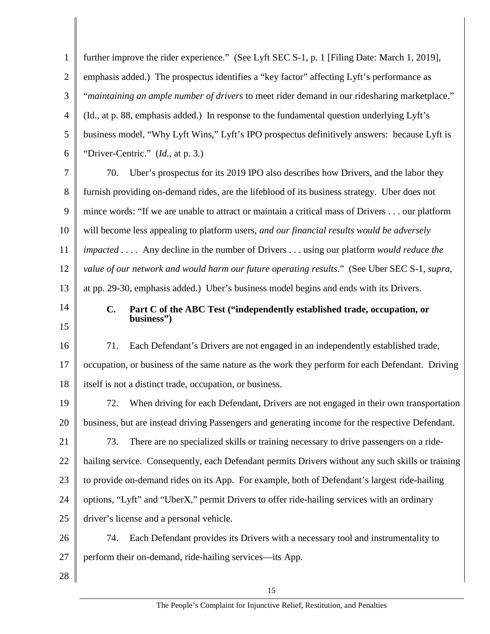1 2 3 4 5 6 7 8 9 10 11 12 13 14 15 16 17 18 19 20 21 22 23 24 25 26 27 28 further improve the rider experience." (See Lyft SEC S-1, p. 1 [Filing Date: March 1, 2019], emphasis added.) The prospectus identifies a "key factor" affecting Lyft's performance as "*maintaining an ample number of drivers* to meet rider demand in our ridesharing marketplace." (Id., at p. 88, emphasis added.) In response to the fundamental question underlying Lyft's business model, "Why Lyft Wins," Lyft's IPO prospectus definitively answers: because Lyft is "Driver-Centric." (*Id.*, at p. 3.) 70. Uber's prospectus for its 2019 IPO also describes how Drivers, and the labor they furnish providing on-demand rides, are the lifeblood of its business strategy. Uber does not mince words: "If we are unable to attract or maintain a critical mass of Drivers . . . our platform will become less appealing to platform users, *and our financial results would be adversely impacted* . . . . Any decline in the number of Drivers . . . using our platform *would reduce the value of our network and would harm our future operating results*." (See Uber SEC S-1, *supra*, at pp. 29-30, emphasis added.) Uber's business model begins and ends with its Drivers. **C. Part C of the ABC Test ("independently established trade, occupation, or business")**  71. Each Defendant's Drivers are not engaged in an independently established trade, occupation, or business of the same nature as the work they perform for each Defendant. Driving itself is not a distinct trade, occupation, or business. 72. When driving for each Defendant, Drivers are not engaged in their own transportation business, but are instead driving Passengers and generating income for the respective Defendant. 73. There are no specialized skills or training necessary to drive passengers on a ridehailing service. Consequently, each Defendant permits Drivers without any such skills or training to provide on-demand rides on its App. For example, both of Defendant's largest ride-hailing options, "Lyft" and "UberX," permit Drivers to offer ride-hailing services with an ordinary driver's license and a personal vehicle. 74. Each Defendant provides its Drivers with a necessary tool and instrumentality to perform their on-demand, ride-hailing services—its App.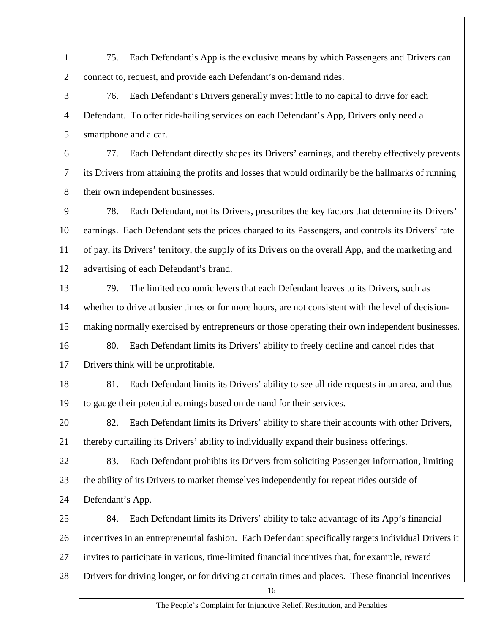1 2 75. Each Defendant's App is the exclusive means by which Passengers and Drivers can connect to, request, and provide each Defendant's on-demand rides.

3 4 5 76. Each Defendant's Drivers generally invest little to no capital to drive for each Defendant. To offer ride-hailing services on each Defendant's App, Drivers only need a smartphone and a car.

6 7 8 77. Each Defendant directly shapes its Drivers' earnings, and thereby effectively prevents its Drivers from attaining the profits and losses that would ordinarily be the hallmarks of running their own independent businesses.

9 10 11 12 78. Each Defendant, not its Drivers, prescribes the key factors that determine its Drivers' earnings. Each Defendant sets the prices charged to its Passengers, and controls its Drivers' rate of pay, its Drivers' territory, the supply of its Drivers on the overall App, and the marketing and advertising of each Defendant's brand.

13 14 15 79. The limited economic levers that each Defendant leaves to its Drivers, such as whether to drive at busier times or for more hours, are not consistent with the level of decisionmaking normally exercised by entrepreneurs or those operating their own independent businesses.

16 17 80. Each Defendant limits its Drivers' ability to freely decline and cancel rides that Drivers think will be unprofitable.

18 19 81. Each Defendant limits its Drivers' ability to see all ride requests in an area, and thus to gauge their potential earnings based on demand for their services.

20 21 82. Each Defendant limits its Drivers' ability to share their accounts with other Drivers, thereby curtailing its Drivers' ability to individually expand their business offerings.

22 23 83. Each Defendant prohibits its Drivers from soliciting Passenger information, limiting the ability of its Drivers to market themselves independently for repeat rides outside of

24 Defendant's App.

25 26 27 28 84. Each Defendant limits its Drivers' ability to take advantage of its App's financial incentives in an entrepreneurial fashion. Each Defendant specifically targets individual Drivers it invites to participate in various, time-limited financial incentives that, for example, reward Drivers for driving longer, or for driving at certain times and places. These financial incentives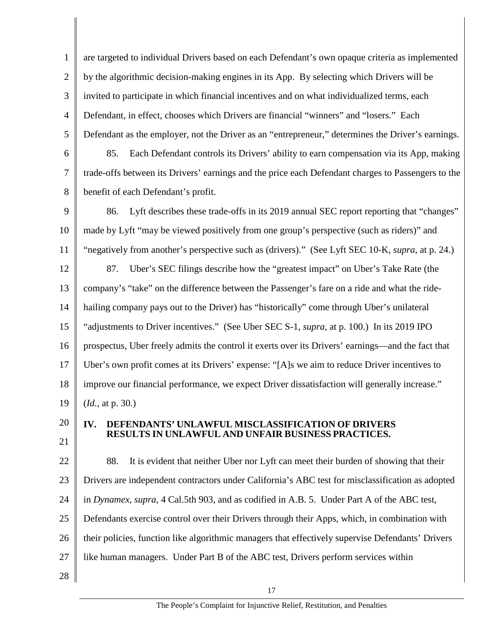1 2 3 4 5 6 are targeted to individual Drivers based on each Defendant's own opaque criteria as implemented by the algorithmic decision-making engines in its App. By selecting which Drivers will be invited to participate in which financial incentives and on what individualized terms, each Defendant, in effect, chooses which Drivers are financial "winners" and "losers." Each Defendant as the employer, not the Driver as an "entrepreneur," determines the Driver's earnings. 85. Each Defendant controls its Drivers' ability to earn compensation via its App, making

7 8 trade-offs between its Drivers' earnings and the price each Defendant charges to Passengers to the benefit of each Defendant's profit.

9 10 11 86. Lyft describes these trade-offs in its 2019 annual SEC report reporting that "changes" made by Lyft "may be viewed positively from one group's perspective (such as riders)" and "negatively from another's perspective such as (drivers)." (See Lyft SEC 10-K, *supra*, at p. 24.)

12 13 14 15 16 17 18 19 87. Uber's SEC filings describe how the "greatest impact" on Uber's Take Rate (the company's "take" on the difference between the Passenger's fare on a ride and what the ridehailing company pays out to the Driver) has "historically" come through Uber's unilateral "adjustments to Driver incentives." (See Uber SEC S-1, *supra*, at p. 100.) In its 2019 IPO prospectus, Uber freely admits the control it exerts over its Drivers' earnings—and the fact that Uber's own profit comes at its Drivers' expense: "[A]s we aim to reduce Driver incentives to improve our financial performance, we expect Driver dissatisfaction will generally increase." (*Id.*, at p. 30.)

20 21

#### **IV. DEFENDANTS' UNLAWFUL MISCLASSIFICATION OF DRIVERS RESULTS IN UNLAWFUL AND UNFAIR BUSINESS PRACTICES.**

22 23 24 25 26 27 28 88. It is evident that neither Uber nor Lyft can meet their burden of showing that their Drivers are independent contractors under California's ABC test for misclassification as adopted in *Dynamex, supra*, 4 Cal.5th 903, and as codified in A.B. 5. Under Part A of the ABC test, Defendants exercise control over their Drivers through their Apps, which, in combination with their policies, function like algorithmic managers that effectively supervise Defendants' Drivers like human managers. Under Part B of the ABC test, Drivers perform services within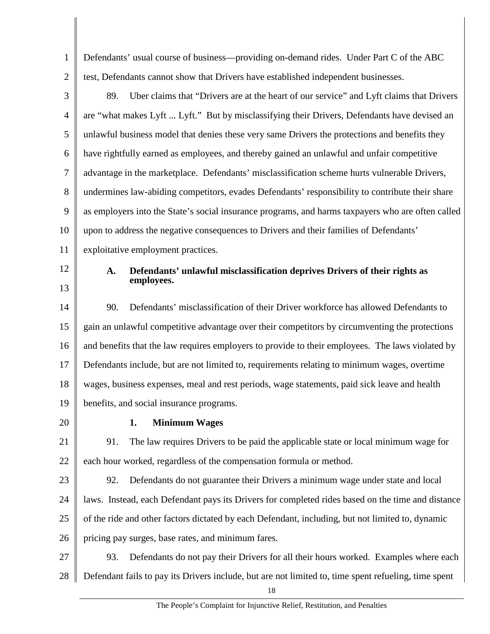1 2 Defendants' usual course of business—providing on-demand rides. Under Part C of the ABC test, Defendants cannot show that Drivers have established independent businesses.

- 3 4 5 6 7 8 9 10 11 89. Uber claims that "Drivers are at the heart of our service" and Lyft claims that Drivers are "what makes Lyft ... Lyft." But by misclassifying their Drivers, Defendants have devised an unlawful business model that denies these very same Drivers the protections and benefits they have rightfully earned as employees, and thereby gained an unlawful and unfair competitive advantage in the marketplace. Defendants' misclassification scheme hurts vulnerable Drivers, undermines law-abiding competitors, evades Defendants' responsibility to contribute their share as employers into the State's social insurance programs, and harms taxpayers who are often called upon to address the negative consequences to Drivers and their families of Defendants' exploitative employment practices.
- 12

13

#### **A. Defendants' unlawful misclassification deprives Drivers of their rights as employees.**

14 15 16 17 18 19 90. Defendants' misclassification of their Driver workforce has allowed Defendants to gain an unlawful competitive advantage over their competitors by circumventing the protections and benefits that the law requires employers to provide to their employees. The laws violated by Defendants include, but are not limited to, requirements relating to minimum wages, overtime wages, business expenses, meal and rest periods, wage statements, paid sick leave and health benefits, and social insurance programs.

20

### **1. Minimum Wages**

21 22 91. The law requires Drivers to be paid the applicable state or local minimum wage for each hour worked, regardless of the compensation formula or method.

- 23 24 25 26 92. Defendants do not guarantee their Drivers a minimum wage under state and local laws. Instead, each Defendant pays its Drivers for completed rides based on the time and distance of the ride and other factors dictated by each Defendant, including, but not limited to, dynamic pricing pay surges, base rates, and minimum fares.
- 27 28 93. Defendants do not pay their Drivers for all their hours worked. Examples where each Defendant fails to pay its Drivers include, but are not limited to, time spent refueling, time spent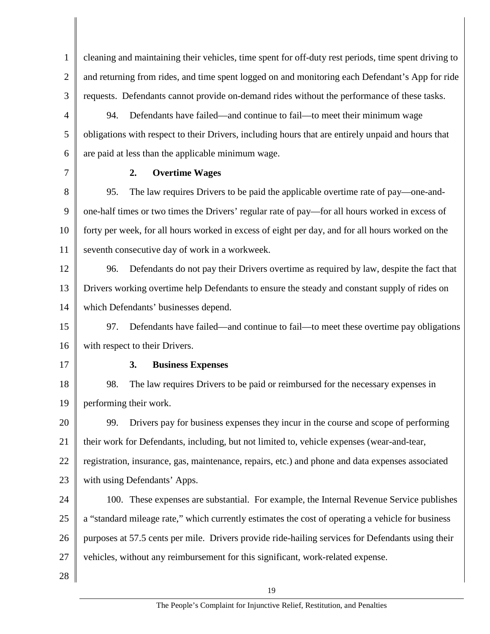1 2 3 cleaning and maintaining their vehicles, time spent for off-duty rest periods, time spent driving to and returning from rides, and time spent logged on and monitoring each Defendant's App for ride requests. Defendants cannot provide on-demand rides without the performance of these tasks.

4 5 6 94. Defendants have failed—and continue to fail—to meet their minimum wage obligations with respect to their Drivers, including hours that are entirely unpaid and hours that are paid at less than the applicable minimum wage.

7

#### **2. Overtime Wages**

8 9 10 11 95. The law requires Drivers to be paid the applicable overtime rate of pay—one-andone-half times or two times the Drivers' regular rate of pay—for all hours worked in excess of forty per week, for all hours worked in excess of eight per day, and for all hours worked on the seventh consecutive day of work in a workweek.

12 13 14 96. Defendants do not pay their Drivers overtime as required by law, despite the fact that Drivers working overtime help Defendants to ensure the steady and constant supply of rides on which Defendants' businesses depend.

15 16 97. Defendants have failed—and continue to fail—to meet these overtime pay obligations with respect to their Drivers.

17

#### **3. Business Expenses**

18 19 98. The law requires Drivers to be paid or reimbursed for the necessary expenses in performing their work.

20 21 22 23 99. Drivers pay for business expenses they incur in the course and scope of performing their work for Defendants, including, but not limited to, vehicle expenses (wear-and-tear, registration, insurance, gas, maintenance, repairs, etc.) and phone and data expenses associated with using Defendants' Apps.

24 25 26 27 100. These expenses are substantial. For example, the Internal Revenue Service publishes a "standard mileage rate," which currently estimates the cost of operating a vehicle for business purposes at 57.5 cents per mile. Drivers provide ride-hailing services for Defendants using their vehicles, without any reimbursement for this significant, work-related expense.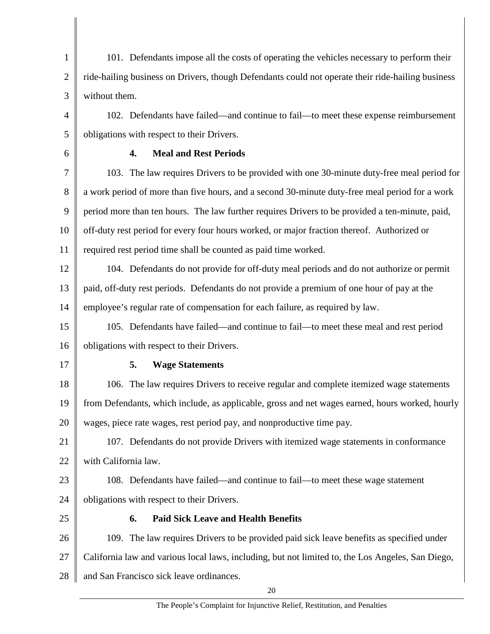1 2 3 4 5 6 7 8 9 10 11 12 13 14 15 16 17 18 19 20 21 22 23 24 25 26 27 28 101. Defendants impose all the costs of operating the vehicles necessary to perform their ride-hailing business on Drivers, though Defendants could not operate their ride-hailing business without them. 102. Defendants have failed—and continue to fail—to meet these expense reimbursement obligations with respect to their Drivers. **4. Meal and Rest Periods**  103. The law requires Drivers to be provided with one 30-minute duty-free meal period for a work period of more than five hours, and a second 30-minute duty-free meal period for a work period more than ten hours. The law further requires Drivers to be provided a ten-minute, paid, off-duty rest period for every four hours worked, or major fraction thereof. Authorized or required rest period time shall be counted as paid time worked. 104. Defendants do not provide for off-duty meal periods and do not authorize or permit paid, off-duty rest periods. Defendants do not provide a premium of one hour of pay at the employee's regular rate of compensation for each failure, as required by law. 105. Defendants have failed—and continue to fail—to meet these meal and rest period obligations with respect to their Drivers. **5. Wage Statements**  106. The law requires Drivers to receive regular and complete itemized wage statements from Defendants, which include, as applicable, gross and net wages earned, hours worked, hourly wages, piece rate wages, rest period pay, and nonproductive time pay. 107. Defendants do not provide Drivers with itemized wage statements in conformance with California law. 108. Defendants have failed—and continue to fail—to meet these wage statement obligations with respect to their Drivers. **6. Paid Sick Leave and Health Benefits**  109. The law requires Drivers to be provided paid sick leave benefits as specified under California law and various local laws, including, but not limited to, the Los Angeles, San Diego, and San Francisco sick leave ordinances.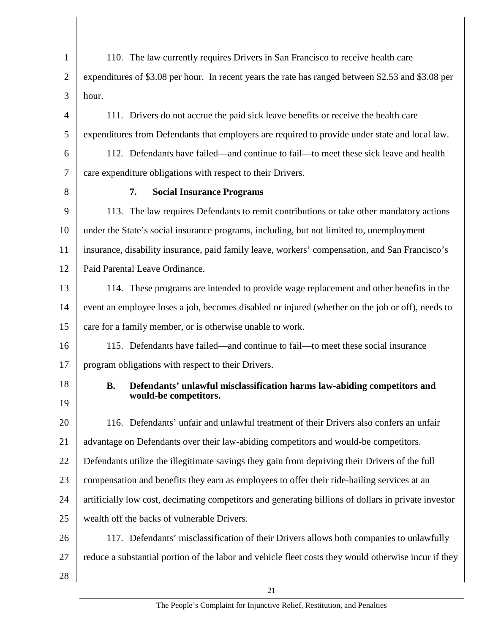1 2 3 4 5 6 7 8 9 10 11 12 13 14 15 16 17 18 19 20 21 22 23 24 25 26 27 28 110. The law currently requires Drivers in San Francisco to receive health care expenditures of \$3.08 per hour. In recent years the rate has ranged between \$2.53 and \$3.08 per hour. 111. Drivers do not accrue the paid sick leave benefits or receive the health care expenditures from Defendants that employers are required to provide under state and local law. 112. Defendants have failed—and continue to fail—to meet these sick leave and health care expenditure obligations with respect to their Drivers. **7. Social Insurance Programs**  113. The law requires Defendants to remit contributions or take other mandatory actions under the State's social insurance programs, including, but not limited to, unemployment insurance, disability insurance, paid family leave, workers' compensation, and San Francisco's Paid Parental Leave Ordinance. 114. These programs are intended to provide wage replacement and other benefits in the event an employee loses a job, becomes disabled or injured (whether on the job or off), needs to care for a family member, or is otherwise unable to work. 115. Defendants have failed—and continue to fail—to meet these social insurance program obligations with respect to their Drivers. **B. Defendants' unlawful misclassification harms law-abiding competitors and would-be competitors.**  116. Defendants' unfair and unlawful treatment of their Drivers also confers an unfair advantage on Defendants over their law-abiding competitors and would-be competitors. Defendants utilize the illegitimate savings they gain from depriving their Drivers of the full compensation and benefits they earn as employees to offer their ride-hailing services at an artificially low cost, decimating competitors and generating billions of dollars in private investor wealth off the backs of vulnerable Drivers. 117. Defendants' misclassification of their Drivers allows both companies to unlawfully reduce a substantial portion of the labor and vehicle fleet costs they would otherwise incur if they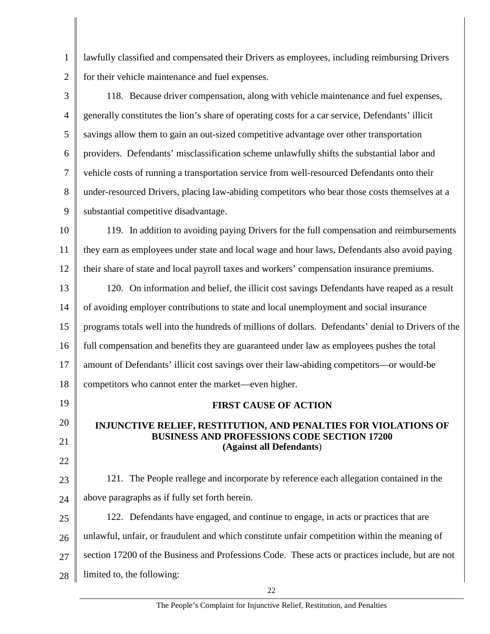lawfully classified and compensated their Drivers as employees, including reimbursing Drivers for their vehicle maintenance and fuel expenses.

3 4 5 6 7 8 9 118. Because driver compensation, along with vehicle maintenance and fuel expenses, generally constitutes the lion's share of operating costs for a car service, Defendants' illicit savings allow them to gain an out-sized competitive advantage over other transportation providers. Defendants' misclassification scheme unlawfully shifts the substantial labor and vehicle costs of running a transportation service from well-resourced Defendants onto their under-resourced Drivers, placing law-abiding competitors who bear those costs themselves at a substantial competitive disadvantage.

10 11 12 119. In addition to avoiding paying Drivers for the full compensation and reimbursements they earn as employees under state and local wage and hour laws, Defendants also avoid paying their share of state and local payroll taxes and workers' compensation insurance premiums.

13 14 15 16 17 18 120. On information and belief, the illicit cost savings Defendants have reaped as a result of avoiding employer contributions to state and local unemployment and social insurance programs totals well into the hundreds of millions of dollars. Defendants' denial to Drivers of the full compensation and benefits they are guaranteed under law as employees pushes the total amount of Defendants' illicit cost savings over their law-abiding competitors—or would-be competitors who cannot enter the market—even higher.

# 19

1

2

## 20 21

22

## **FIRST CAUSE OF ACTION**

#### **INJUNCTIVE RELIEF, RESTITUTION, AND PENALTIES FOR VIOLATIONS OF BUSINESS AND PROFESSIONS CODE SECTION 17200 (Against all Defendants**)

23 24 121. The People reallege and incorporate by reference each allegation contained in the above paragraphs as if fully set forth herein.

25 26 27 28 122. Defendants have engaged, and continue to engage, in acts or practices that are unlawful, unfair, or fraudulent and which constitute unfair competition within the meaning of section 17200 of the Business and Professions Code. These acts or practices include, but are not limited to, the following: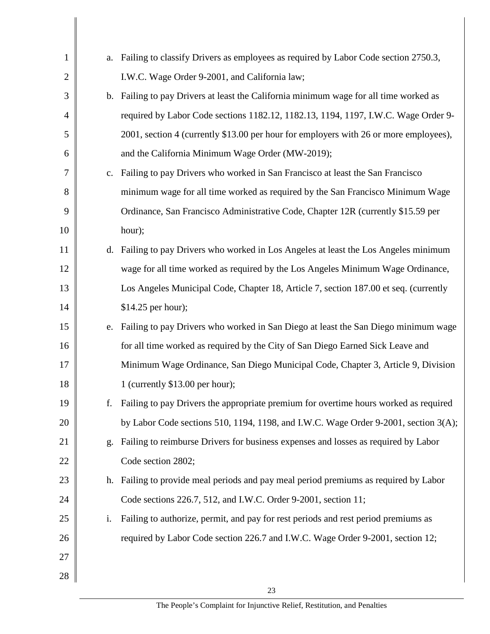| $\mathbf{1}$   |    | a. Failing to classify Drivers as employees as required by Labor Code section 2750.3, |
|----------------|----|---------------------------------------------------------------------------------------|
| $\overline{2}$ |    | I.W.C. Wage Order 9-2001, and California law;                                         |
| 3              |    | b. Failing to pay Drivers at least the California minimum wage for all time worked as |
| $\overline{4}$ |    | required by Labor Code sections 1182.12, 1182.13, 1194, 1197, I.W.C. Wage Order 9-    |
| 5              |    | 2001, section 4 (currently \$13.00 per hour for employers with 26 or more employees), |
| 6              |    | and the California Minimum Wage Order (MW-2019);                                      |
| 7              | c. | Failing to pay Drivers who worked in San Francisco at least the San Francisco         |
| 8              |    | minimum wage for all time worked as required by the San Francisco Minimum Wage        |
| 9              |    | Ordinance, San Francisco Administrative Code, Chapter 12R (currently \$15.59 per      |
| 10             |    | hour);                                                                                |
| 11             |    | d. Failing to pay Drivers who worked in Los Angeles at least the Los Angeles minimum  |
| 12             |    | wage for all time worked as required by the Los Angeles Minimum Wage Ordinance,       |
| 13             |    | Los Angeles Municipal Code, Chapter 18, Article 7, section 187.00 et seq. (currently  |
| 14             |    | \$14.25 per hour);                                                                    |
| 15             | e. | Failing to pay Drivers who worked in San Diego at least the San Diego minimum wage    |
| 16             |    | for all time worked as required by the City of San Diego Earned Sick Leave and        |
| 17             |    | Minimum Wage Ordinance, San Diego Municipal Code, Chapter 3, Article 9, Division      |
| 18             |    | 1 (currently $$13.00$ per hour);                                                      |
| 19             |    | Failing to pay Drivers the appropriate premium for overtime hours worked as required  |
| 20             |    | by Labor Code sections 510, 1194, 1198, and I.W.C. Wage Order 9-2001, section 3(A);   |
| 21             | g. | Failing to reimburse Drivers for business expenses and losses as required by Labor    |
| 22             |    | Code section 2802;                                                                    |
| 23             |    | h. Failing to provide meal periods and pay meal period premiums as required by Labor  |
| 24             |    | Code sections 226.7, 512, and I.W.C. Order 9-2001, section 11;                        |
| 25             | i. | Failing to authorize, permit, and pay for rest periods and rest period premiums as    |
| 26             |    | required by Labor Code section 226.7 and I.W.C. Wage Order 9-2001, section 12;        |
| 27             |    |                                                                                       |
| 28             |    |                                                                                       |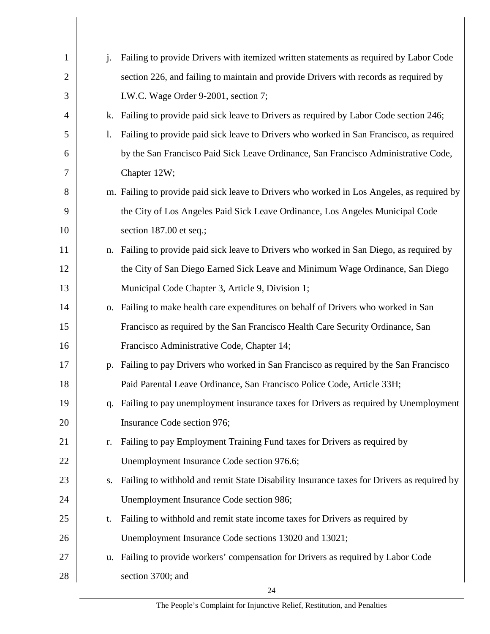| 1            | $\mathbf{i}$ . | Failing to provide Drivers with itemized written statements as required by Labor Code      |
|--------------|----------------|--------------------------------------------------------------------------------------------|
| $\mathbf{2}$ |                | section 226, and failing to maintain and provide Drivers with records as required by       |
| 3            |                | I.W.C. Wage Order 9-2001, section 7;                                                       |
| 4            | k.             | Failing to provide paid sick leave to Drivers as required by Labor Code section 246;       |
| 5            | 1.             | Failing to provide paid sick leave to Drivers who worked in San Francisco, as required     |
| 6            |                | by the San Francisco Paid Sick Leave Ordinance, San Francisco Administrative Code,         |
| 7            |                | Chapter 12W;                                                                               |
| 8            |                | m. Failing to provide paid sick leave to Drivers who worked in Los Angeles, as required by |
| 9            |                | the City of Los Angeles Paid Sick Leave Ordinance, Los Angeles Municipal Code              |
| 10           |                | section 187.00 et seq.;                                                                    |
| 11           |                | n. Failing to provide paid sick leave to Drivers who worked in San Diego, as required by   |
| 12           |                | the City of San Diego Earned Sick Leave and Minimum Wage Ordinance, San Diego              |
| 13           |                | Municipal Code Chapter 3, Article 9, Division 1;                                           |
| 14           |                | o. Failing to make health care expenditures on behalf of Drivers who worked in San         |
| 15           |                | Francisco as required by the San Francisco Health Care Security Ordinance, San             |
| 16           |                | Francisco Administrative Code, Chapter 14;                                                 |
| 17           |                | p. Failing to pay Drivers who worked in San Francisco as required by the San Francisco     |
| 18           |                | Paid Parental Leave Ordinance, San Francisco Police Code, Article 33H;                     |
| 19           |                | q. Failing to pay unemployment insurance taxes for Drivers as required by Unemployment     |
| 20           |                | Insurance Code section 976;                                                                |
| 21           | r.             | Failing to pay Employment Training Fund taxes for Drivers as required by                   |
| 22           |                | Unemployment Insurance Code section 976.6;                                                 |
| 23           | S.             | Failing to withhold and remit State Disability Insurance taxes for Drivers as required by  |
| 24           |                | Unemployment Insurance Code section 986;                                                   |
| 25           | t.             | Failing to withhold and remit state income taxes for Drivers as required by                |
| 26           |                | Unemployment Insurance Code sections 13020 and 13021;                                      |
| 27           |                | u. Failing to provide workers' compensation for Drivers as required by Labor Code          |
| 28           |                | section 3700; and                                                                          |
|              |                | 24                                                                                         |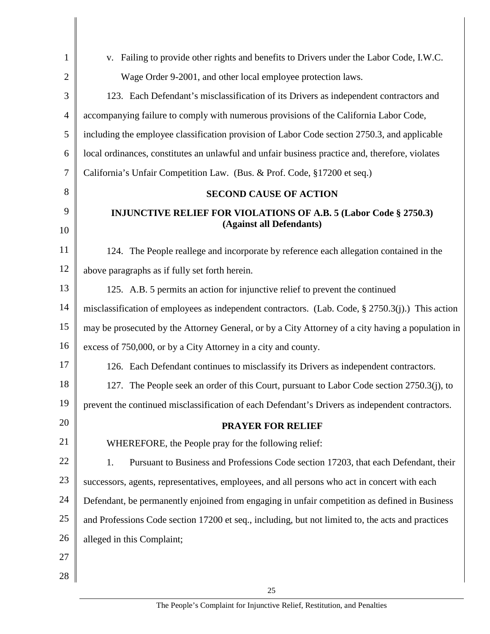| $\mathbf{1}$   | v. Failing to provide other rights and benefits to Drivers under the Labor Code, I.W.C.              |
|----------------|------------------------------------------------------------------------------------------------------|
| $\overline{2}$ | Wage Order 9-2001, and other local employee protection laws.                                         |
| 3              | 123. Each Defendant's misclassification of its Drivers as independent contractors and                |
| $\overline{4}$ | accompanying failure to comply with numerous provisions of the California Labor Code,                |
| 5              | including the employee classification provision of Labor Code section 2750.3, and applicable         |
| 6              | local ordinances, constitutes an unlawful and unfair business practice and, therefore, violates      |
| $\overline{7}$ | California's Unfair Competition Law. (Bus. & Prof. Code, §17200 et seq.)                             |
| 8              | <b>SECOND CAUSE OF ACTION</b>                                                                        |
| 9              | <b>INJUNCTIVE RELIEF FOR VIOLATIONS OF A.B. 5 (Labor Code § 2750.3)</b><br>(Against all Defendants)  |
| 10             |                                                                                                      |
| 11             | 124. The People reallege and incorporate by reference each allegation contained in the               |
| 12             | above paragraphs as if fully set forth herein.                                                       |
| 13             | 125. A.B. 5 permits an action for injunctive relief to prevent the continued                         |
| 14             | misclassification of employees as independent contractors. (Lab. Code, $\S 2750.3(j)$ .) This action |
| 15             | may be prosecuted by the Attorney General, or by a City Attorney of a city having a population in    |
| 16             | excess of 750,000, or by a City Attorney in a city and county.                                       |
| 17             | 126. Each Defendant continues to misclassify its Drivers as independent contractors.                 |
| 18             | 127. The People seek an order of this Court, pursuant to Labor Code section 2750.3(j), to            |
| 19             | prevent the continued misclassification of each Defendant's Drivers as independent contractors.      |
| 20             | <b>PRAYER FOR RELIEF</b>                                                                             |
| 21             | WHEREFORE, the People pray for the following relief:                                                 |
| 22             | 1.<br>Pursuant to Business and Professions Code section 17203, that each Defendant, their            |
| 23             | successors, agents, representatives, employees, and all persons who act in concert with each         |
| 24             | Defendant, be permanently enjoined from engaging in unfair competition as defined in Business        |
| 25             | and Professions Code section 17200 et seq., including, but not limited to, the acts and practices    |
| 26             | alleged in this Complaint;                                                                           |
| 27             |                                                                                                      |
| 28             |                                                                                                      |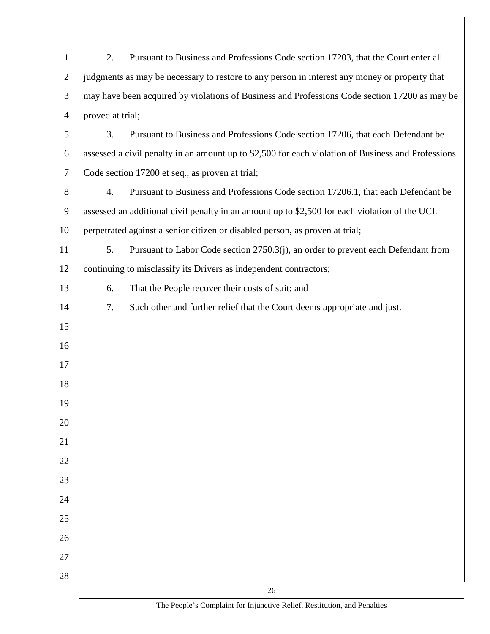| $\mathbf{1}$   | Pursuant to Business and Professions Code section 17203, that the Court enter all<br>2.            |  |
|----------------|----------------------------------------------------------------------------------------------------|--|
| $\overline{2}$ | judgments as may be necessary to restore to any person in interest any money or property that      |  |
| 3              | may have been acquired by violations of Business and Professions Code section 17200 as may be      |  |
| $\overline{4}$ | proved at trial;                                                                                   |  |
| 5              | 3.<br>Pursuant to Business and Professions Code section 17206, that each Defendant be              |  |
| 6              | assessed a civil penalty in an amount up to \$2,500 for each violation of Business and Professions |  |
| 7              | Code section 17200 et seq., as proven at trial;                                                    |  |
| 8              | 4.<br>Pursuant to Business and Professions Code section 17206.1, that each Defendant be            |  |
| 9              | assessed an additional civil penalty in an amount up to \$2,500 for each violation of the UCL      |  |
| 10             | perpetrated against a senior citizen or disabled person, as proven at trial;                       |  |
| 11             | 5.<br>Pursuant to Labor Code section 2750.3(j), an order to prevent each Defendant from            |  |
| 12             | continuing to misclassify its Drivers as independent contractors;                                  |  |
| 13             | That the People recover their costs of suit; and<br>6.                                             |  |
| 14             | 7.<br>Such other and further relief that the Court deems appropriate and just.                     |  |
| 15             |                                                                                                    |  |
| 16             |                                                                                                    |  |
| 17             |                                                                                                    |  |
| 18             |                                                                                                    |  |
| 19             |                                                                                                    |  |
| $20\,$         |                                                                                                    |  |
| $21\,$         |                                                                                                    |  |
| $22\,$         |                                                                                                    |  |
| $23\,$         |                                                                                                    |  |
| $24\,$         |                                                                                                    |  |
| 25             |                                                                                                    |  |
| 26             |                                                                                                    |  |
| $27\,$         |                                                                                                    |  |
| 28             | 26                                                                                                 |  |
|                |                                                                                                    |  |